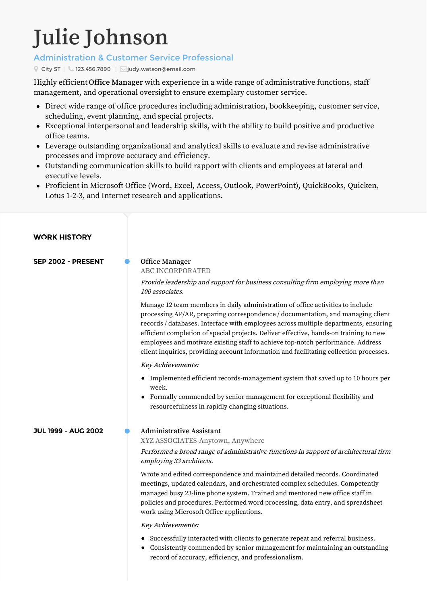# **Julie Johnson**

# Administration & Customer Service Professional

City ST |  $\bigcup$  123.456.7890 |  $\bigcap$ iudy.watson@email.com

Highly efficient **Office Manager** with experience in a wide range of administrative functions, staff management, and operational oversight to ensure exemplary customer service.

- Direct wide range of office procedures including administration, bookkeeping, customer service, scheduling, event planning, and special projects.
- Exceptional interpersonal and leadership skills, with the ability to build positive and productive office teams.
- Leverage outstanding organizational and analytical skills to evaluate and revise administrative processes and improve accuracy and efficiency.
- Outstanding communication skills to build rapport with clients and employees at lateral and executive levels.
- Proficient in Microsoft Office (Word, Excel, Access, Outlook, PowerPoint), QuickBooks, Quicken, Lotus 1-2-3, and Internet research and applications.